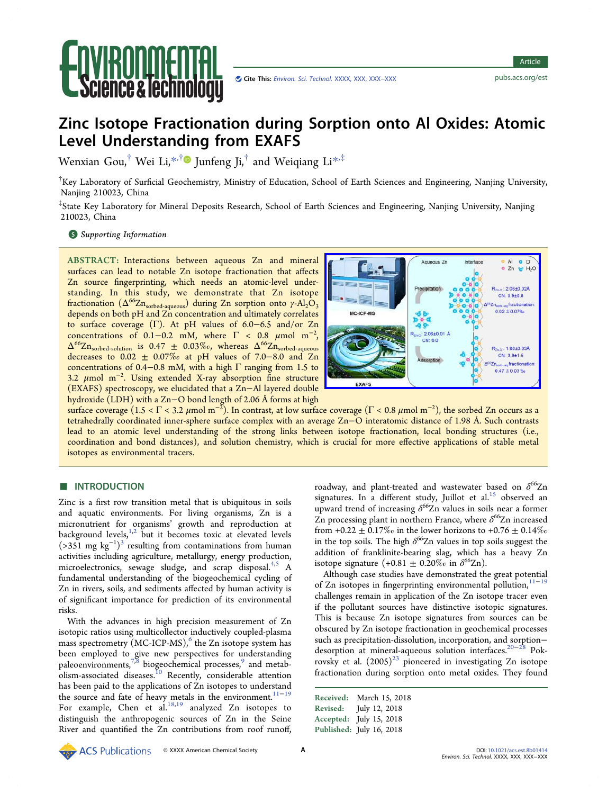

# Zinc Isotope Fractionation during Sorption onto Al Oxides: Atomic Level Understanding from EXAFS

Wenxian Gou,<sup>†</sup> Wei Li,[\\*](#page-7-0)<sup>,[†](#page-7-0)</sup> Junfeng Ji,<sup>†</sup> and Weiqiang Li<sup>\*,‡</sup>

† Key Laboratory of Surficial Geochemistry, Ministry of Education, School of Earth Sciences and Engineering, Nanjing University, Nanjing 210023, China

‡ State Key Laboratory for Mineral Deposits Research, School of Earth Sciences and Engineering, Nanjing University, Nanjing 210023, China

### **S** [Supporting Information](#page-7-0)

ABSTRACT: Interactions between aqueous Zn and mineral surfaces can lead to notable Zn isotope fractionation that affects Zn source fingerprinting, which needs an atomic-level understanding. In this study, we demonstrate that Zn isotope fractionation  $(Δ<sup>66</sup>Zn<sub>sorted-aqueous</sub>)$  during Zn sorption onto γ-Al<sub>2</sub>O<sub>3</sub> depends on both pH and Zn concentration and ultimately correlates to surface coverage (Γ). At pH values of 6.0−6.5 and/or Zn concentrations of 0.1–0.2 mM, where  $\Gamma < 0.8$   $\mu$ mol m<sup>-2</sup>,  $\Delta^{66} \text{Zn}_{\text{sorted-solution}}$  is 0.47  $\pm$  0.03%o, whereas  $\Delta^{66} \text{Zn}_{\text{sorted-aqueous}}$ decreases to  $0.02 \pm 0.07\%$  at pH values of 7.0–8.0 and Zn concentrations of 0.4–0.8 mM, with a high  $\Gamma$  ranging from 1.5 to 3.2 μmol m<sup>−</sup><sup>2</sup> . Using extended X-ray absorption fine structure (EXAFS) spectroscopy, we elucidated that a Zn−Al layered double hydroxide (LDH) with a Zn−O bond length of 2.06 Å forms at high



surface coverage (1.5 < Γ < 3.2 μmol m<sup>−2</sup>). In contrast, at low surface coverage (Γ < 0.8 μmol m<sup>−2</sup>), the sorbed Zn occurs as a tetrahedrally coordinated inner-sphere surface complex with an average Zn−O interatomic distance of 1.98 Å. Such contrasts lead to an atomic level understanding of the strong links between isotope fractionation, local bonding structures (i.e., coordination and bond distances), and solution chemistry, which is crucial for more effective applications of stable metal isotopes as environmental tracers.

## ■ INTRODUCTION

Zinc is a first row transition metal that is ubiquitous in soils and aquatic environments. For living organisms, Zn is a micronutrient for organisms' growth and reproduction at background levels,<sup>[1](#page-8-0),[2](#page-8-0)</sup> but it becomes toxic at elevated levels  $($ >351 mg kg<sup>-1</sup>)<sup>3</sup> [resulting from contaminations from human](#page-8-0) activities including agriculture, metallurgy, energy production, microelectronics, sewage sludge, and scrap disposal.<sup>[4,5](#page-8-0)</sup> A fundamental understanding of the biogeochemical cycling of Zn in rivers, soils, and sediments affected by human activity is of significant importance for prediction of its environmental risks.

With the advances in high precision measurement of Zn isotopic ratios using multicollector inductively coupled-plasma mass spectrometry  $(MC\text{-}ICP\text{-}MS)$ , [the Zn isotope system has](#page-8-0) been employed to give new perspectives for understanding paleoenvironments,  $7,8$  biogeochemical processes, [and metab-](#page-8-0)olism-associated diseases.<sup>10</sup> [Recently, considerable attention](#page-8-0) has been paid to the applications of Zn isotopes to understand the source and fate of heavy metals in the environment.<sup>11-[19](#page-8-0)</sup> For example, Chen et al. $18,19$  analyzed Zn isotopes to distinguish the anthropogenic sources of Zn in the Seine River and quantified the Zn contributions from roof runoff,

roadway, and plant-treated and wastewater based on  $\delta^{66}Zn$ signatures. In a different study, Juillot et al. $15$  [observed an](#page-8-0) upward trend of increasing  $\delta^{66}Zn$  values in soils near a former Zn processing plant in northern France, where  $\delta^{66}$ Zn increased from +0.22  $\pm$  0.17‰ in the lower horizons to +0.76  $\pm$  0.14‰ in the top soils. The high  $\delta^{66}Zn$  values in top soils suggest the addition of franklinite-bearing slag, which has a heavy Zn isotope signature  $(+0.81 \pm 0.20\%$  in  $\delta^{66} \text{Zn}$ ).

Although case studies have demonstrated the great potential of Zn isotopes in fingerprinting environmental pollution, $11-19$  $11-19$ challenges remain in application of the Zn isotope tracer even if the pollutant sources have distinctive isotopic signatures. This is because Zn isotope signatures from sources can be obscured by Zn isotope fractionation in geochemical processes such as precipitation-dissolution, incorporation, and sorption− desorption at mineral-aqueous solution interfaces.[20](#page-8-0)<sup>−</sup>[28](#page-8-0) Pokrovsky et al.  $(2005)^{23}$  [pioneered in investigating Zn isotope](#page-8-0) fractionation during sorption onto metal oxides. They found

Received: March 15, 2018 Revised: July 12, 2018 Accepted: July 15, 2018 Published: July 16, 2018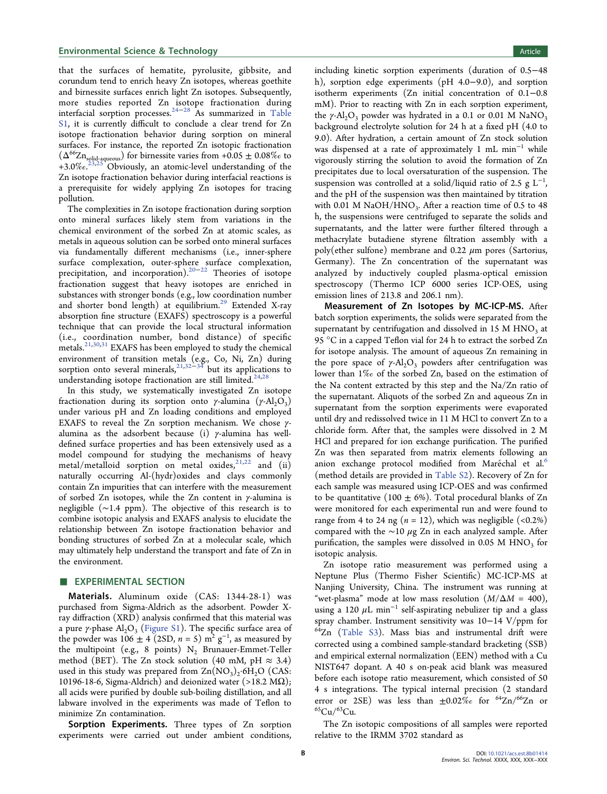that the surfaces of hematite, pyrolusite, gibbsite, and corundum tend to enrich heavy Zn isotopes, whereas goethite and birnessite surfaces enrich light Zn isotopes. Subsequently, more studies reported Zn isotope fractionation during interfacial sorption processes.<sup>[24](#page-8-0)-[28](#page-8-0)</sup> As summarized in [Table](http://pubs.acs.org/doi/suppl/10.1021/acs.est.8b01414/suppl_file/es8b01414_si_001.pdf) [S1](http://pubs.acs.org/doi/suppl/10.1021/acs.est.8b01414/suppl_file/es8b01414_si_001.pdf), it is currently difficult to conclude a clear trend for Zn isotope fractionation behavior during sorption on mineral surfaces. For instance, the reported Zn isotopic fractionation  $(\Delta^{66} \text{Zn}_{\text{solid-gqueous}})$  for birnessite varies from +0.05  $\pm$  0.08% $_o$  to  $+3.0\%$ .<sup>[23,25](#page-8-0)</sup><sup>1</sup> Obviously, an atomic-level understanding of the Zn isotope fractionation behavior during interfacial reactions is a prerequisite for widely applying Zn isotopes for tracing pollution.

The complexities in Zn isotope fractionation during sorption onto mineral surfaces likely stem from variations in the chemical environment of the sorbed Zn at atomic scales, as metals in aqueous solution can be sorbed onto mineral surfaces via fundamentally different mechanisms (i.e., inner-sphere surface complexation, outer-sphere surface complexation, precipitation, and incorporation).<sup>[20](#page-8-0)−[22](#page-8-0)</sup> Theories of isotope fractionation suggest that heavy isotopes are enriched in substances with stronger bonds (e.g., low coordination number and shorter bond length) at equilibrium.<sup>29</sup> [Extended X-ray](#page-8-0) absorption fine structure (EXAFS) spectroscopy is a powerful technique that can provide the local structural information (i.e., coordination number, bond distance) of specific metals.<sup>[21](#page-8-0),[30,31](#page-8-0)</sup> EXAFS has been employed to study the chemical environment of transition metals (e.g., Co, Ni, Zn) during sorption onto several minerals,  $21,32-34$  $21,32-34$  $21,32-34$  but its applications to understanding isotope fractionation are still limited.<sup>24,28</sup>

In this study, we systematically investigated Zn isotope fractionation during its sorption onto *γ*-alumina (*γ*-Al<sub>2</sub>O<sub>3</sub>) under various pH and Zn loading conditions and employed EXAFS to reveal the Zn sorption mechanism. We chose γalumina as the adsorbent because (i) γ-alumina has welldefined surface properties and has been extensively used as a model compound for studying the mechanisms of heavy metal/metalloid sorption on metal oxides,  $2^{1,22}$  $2^{1,22}$  $2^{1,22}$  and (ii) naturally occurring Al-(hydr)oxides and clays commonly contain Zn impurities that can interfere with the measurement of sorbed Zn isotopes, while the Zn content in  $\gamma$ -alumina is negligible (∼1.4 ppm). The objective of this research is to combine isotopic analysis and EXAFS analysis to elucidate the relationship between Zn isotope fractionation behavior and bonding structures of sorbed Zn at a molecular scale, which may ultimately help understand the transport and fate of Zn in the environment.

#### **EXPERIMENTAL SECTION**

Materials. Aluminum oxide (CAS: 1344-28-1) was purchased from Sigma-Aldrich as the adsorbent. Powder Xray diffraction (XRD) analysis confirmed that this material was a pure  $\gamma$ -phase Al<sub>2</sub>O<sub>3</sub> ([Figure S1\)](http://pubs.acs.org/doi/suppl/10.1021/acs.est.8b01414/suppl_file/es8b01414_si_001.pdf). The specific surface area of the powder was 106  $\pm$  4 (2SD, n = 5) m<sup>2</sup> g<sup>-1</sup>, as measured by the multipoint (e.g., 8 points)  $N_2$  Brunauer-Emmet-Teller method (BET). The Zn stock solution (40 mM, pH  $\approx$  3.4) used in this study was prepared from  $\text{Zn}(\text{NO}_3)_2\text{·}6\text{H}_2\text{O}$  (CAS: 10196-18-6, Sigma-Aldrich) and deionized water (>18.2 M $\Omega$ ); all acids were purified by double sub-boiling distillation, and all labware involved in the experiments was made of Teflon to minimize Zn contamination.

Sorption Experiments. Three types of Zn sorption experiments were carried out under ambient conditions, including kinetic sorption experiments (duration of 0.5−48 h), sorption edge experiments (pH 4.0−9.0), and sorption isotherm experiments (Zn initial concentration of 0.1−0.8 mM). Prior to reacting with Zn in each sorption experiment, the  $\gamma$ -Al<sub>2</sub>O<sub>3</sub> powder was hydrated in a 0.1 or 0.01 M NaNO<sub>3</sub> background electrolyte solution for 24 h at a fixed pH (4.0 to 9.0). After hydration, a certain amount of Zn stock solution was dispensed at a rate of approximately 1 mL min<sup>−</sup><sup>1</sup> while vigorously stirring the solution to avoid the formation of Zn precipitates due to local oversaturation of the suspension. The suspension was controlled at a solid/liquid ratio of 2.5  $g L^{-1}$ , and the pH of the suspension was then maintained by titration with 0.01 M NaOH/HNO<sub>3</sub>. After a reaction time of 0.5 to 48 h, the suspensions were centrifuged to separate the solids and supernatants, and the latter were further filtered through a methacrylate butadiene styrene filtration assembly with a poly(ether sulfone) membrane and 0.22  $\mu$ m pores (Sartorius, Germany). The Zn concentration of the supernatant was analyzed by inductively coupled plasma-optical emission spectroscopy (Thermo ICP 6000 series ICP-OES, using emission lines of 213.8 and 206.1 nm).

Measurement of Zn Isotopes by MC-ICP-MS. After batch sorption experiments, the solids were separated from the supernatant by centrifugation and dissolved in  $15 M HNO<sub>3</sub>$  at 95 °C in a capped Teflon vial for 24 h to extract the sorbed Zn for isotope analysis. The amount of aqueous Zn remaining in the pore space of  $\gamma$ -Al<sub>2</sub>O<sub>3</sub> powders after centrifugation was lower than 1‰ of the sorbed Zn, based on the estimation of the Na content extracted by this step and the Na/Zn ratio of the supernatant. Aliquots of the sorbed Zn and aqueous Zn in supernatant from the sorption experiments were evaporated until dry and redissolved twice in 11 M HCl to convert Zn to a chloride form. After that, the samples were dissolved in 2 M HCl and prepared for ion exchange purification. The purified Zn was then separated from matrix elements following an anion exchange protocol modified from Maréchal et al.<sup>[6](#page-8-0)</sup> (method details are provided in [Table S2\)](http://pubs.acs.org/doi/suppl/10.1021/acs.est.8b01414/suppl_file/es8b01414_si_001.pdf). Recovery of Zn for each sample was measured using ICP-OES and was confirmed to be quantitative (100  $\pm$  6%). Total procedural blanks of Zn were monitored for each experimental run and were found to range from 4 to 24 ng ( $n = 12$ ), which was negligible (<0.2%) compared with the ∼10  $\mu$ g Zn in each analyzed sample. After purification, the samples were dissolved in 0.05 M HNO<sub>3</sub> for isotopic analysis.

Zn isotope ratio measurement was performed using a Neptune Plus (Thermo Fisher Scientific) MC-ICP-MS at Nanjing University, China. The instrument was running at "wet-plasma" mode at low mass resolution  $(M/\Delta M = 400)$ , using a 120  $\mu$ L min<sup>-1</sup> self-aspirating nebulizer tip and a glass spray chamber. Instrument sensitivity was 10−14 V/ppm for  $64$ Zn [\(Table S3\)](http://pubs.acs.org/doi/suppl/10.1021/acs.est.8b01414/suppl_file/es8b01414_si_001.pdf). Mass bias and instrumental drift were corrected using a combined sample-standard bracketing (SSB) and empirical external normalization (EEN) method with a Cu NIST647 dopant. A 40 s on-peak acid blank was measured before each isotope ratio measurement, which consisted of 50 4 s integrations. The typical internal precision (2 standard error or 2SE) was less than  $\pm 0.02\%$  for <sup>64</sup>Zn/<sup>66</sup>Zn or  ${}^{65}Cu/{}^{63}Cu.$ 

The Zn isotopic compositions of all samples were reported relative to the IRMM 3702 standard as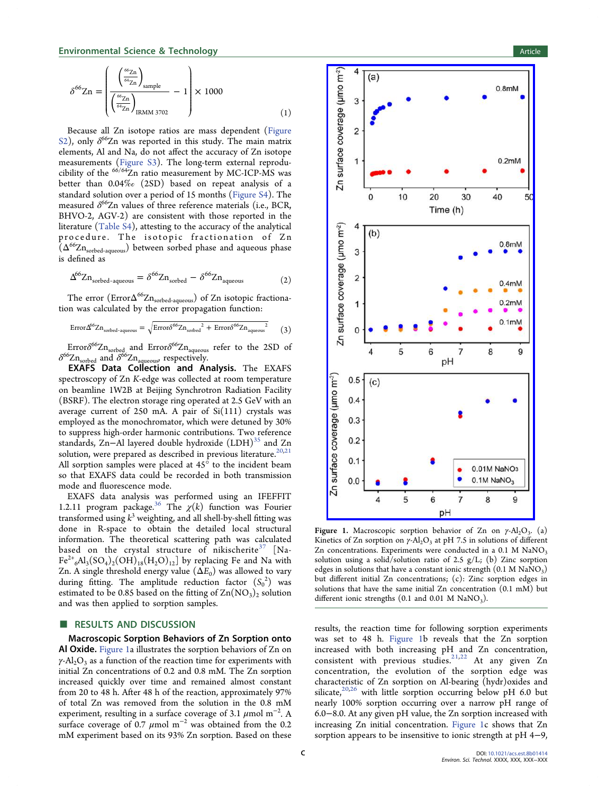$$
\delta^{66} \text{Zn} = \left( \frac{\left( \frac{^{66} \text{Zn}}{^{64} \text{Zn}} \right)_{\text{sample}}}{\left( \frac{^{66} \text{Zn}}{^{64} \text{Zn}} \right)_{\text{IRMM } 3702}} - 1 \right) \times 1000 \tag{1}
$$

Because all Zn isotope ratios are mass dependent [\(Figure](http://pubs.acs.org/doi/suppl/10.1021/acs.est.8b01414/suppl_file/es8b01414_si_001.pdf) [S2](http://pubs.acs.org/doi/suppl/10.1021/acs.est.8b01414/suppl_file/es8b01414_si_001.pdf)), only  $\delta^{66}$ Zn was reported in this study. The main matrix elements, Al and Na, do not affect the accuracy of Zn isotope measurements [\(Figure S3\)](http://pubs.acs.org/doi/suppl/10.1021/acs.est.8b01414/suppl_file/es8b01414_si_001.pdf). The long-term external reproducibility of the  $66/64$ Zn ratio measurement by MC-ICP-MS was better than 0.04‰ (2SD) based on repeat analysis of a standard solution over a period of 15 months ([Figure S4](http://pubs.acs.org/doi/suppl/10.1021/acs.est.8b01414/suppl_file/es8b01414_si_001.pdf)). The measured  $\delta^{66}$ Zn values of three reference materials (i.e., BCR, BHVO-2, AGV-2) are consistent with those reported in the literature ([Table S4\)](http://pubs.acs.org/doi/suppl/10.1021/acs.est.8b01414/suppl_file/es8b01414_si_001.pdf), attesting to the accuracy of the analytical procedure. The isotopic fractionation of Zn  $(\Delta^{66}Zn_{sorted-aqueous})$  between sorbed phase and aqueous phase is defined as

$$
\Delta^{66} \text{Zn}_{\text{sorted-aqueous}} = \delta^{66} \text{Zn}_{\text{sorted}} - \delta^{66} \text{Zn}_{\text{aqueous}} \tag{2}
$$

The error  $\left(\mathrm{Error}\Delta^{66}\mathrm{Zn}_{\mathrm{sorted-aqueous}}\right)$  of Zn isotopic fractionation was calculated by the error propagation function:

$$
\text{Error}\Delta^{66}Zn_{\text{sorted-aqueous}} = \sqrt{\text{Error}\delta^{66}Zn_{\text{sorted}}^2 + \text{Error}\delta^{66}Zn_{\text{aqueous}}^2} \qquad (3)
$$

Error $\delta^{66}Zn_{\text{sorted}}$  and Error $\delta^{66}Zn_{\text{aqueous}}$  refer to the 2SD of  $\delta^{66}Zn_{\text{sorted}}$  and  $\delta^{66}Zn_{\text{aqueous}}$ , respectively.

EXAFS Data Collection and Analysis. The EXAFS spectroscopy of Zn K-edge was collected at room temperature on beamline 1W2B at Beijing Synchrotron Radiation Facility (BSRF). The electron storage ring operated at 2.5 GeV with an average current of 250 mA. A pair of  $Si(111)$  crystals was employed as the monochromator, which were detuned by 30% to suppress high-order harmonic contributions. Two reference standards, Zn-Al layered double hydroxide (LDH)<sup>35</sup> [and Zn](#page-8-0) solution, were prepared as described in previous literature.<sup>[20,21](#page-8-0)</sup> All sorption samples were placed at  $45^\circ$  to the incident beam so that EXAFS data could be recorded in both transmission mode and fluorescence mode.

EXAFS data analysis was performed using an IFEFFIT 1.2.11 program package.<sup>36</sup> The  $\chi(k)$  function was Fourier transformed using  $k^3$  weighting, and all shell-by-shell fitting was done in R-space to obtain the detailed local structural information. The theoretical scattering path was calculated based on the crystal structure of nikischerite<sup>37</sup> [\[Na-](#page-8-0) $Fe^{2+}6\text{Al}_3(S\text{O}_4)_2(OH)_{18}(H_2\text{O})_{12}$  by replacing Fe and Na with Zn. A single threshold energy value  $(\Delta E_0)$  was allowed to vary during fitting. The amplitude reduction factor  $(S_0^2)$  was estimated to be 0.85 based on the fitting of  $\text{Zn}(\text{NO}_3)_2$  solution and was then applied to sorption samples.

## ■ RESULTS AND DISCUSSION

Macroscopic Sorption Behaviors of Zn Sorption onto Al Oxide. Figure 1a illustrates the sorption behaviors of Zn on  $\gamma$ -Al<sub>2</sub>O<sub>3</sub> as a function of the reaction time for experiments with initial Zn concentrations of 0.2 and 0.8 mM. The Zn sorption increased quickly over time and remained almost constant from 20 to 48 h. After 48 h of the reaction, approximately 97% of total Zn was removed from the solution in the 0.8 mM experiment, resulting in a surface coverage of 3.1  $\mu$ mol m $^{-2}$ . A surface coverage of 0.7  $\mu$ mol m<sup>-2</sup> was obtained from the 0.2 mM experiment based on its 93% Zn sorption. Based on these



Figure 1. Macroscopic sorption behavior of Zn on  $\gamma$ -Al<sub>2</sub>O<sub>3</sub>. (a) Kinetics of Zn sorption on  $\gamma$ -Al<sub>2</sub>O<sub>3</sub> at pH 7.5 in solutions of different Zn concentrations. Experiments were conducted in a  $0.1$  M NaNO<sub>3</sub> solution using a solid/solution ratio of 2.5 g/L; (b) Zinc sorption edges in solutions that have a constant ionic strength  $(0.1 M NaNO<sub>3</sub>)$ but different initial Zn concentrations; (c): Zinc sorption edges in solutions that have the same initial Zn concentration (0.1 mM) but different ionic strengths  $(0.1 \text{ and } 0.01 \text{ M } \text{NaNO}_3)$ .

results, the reaction time for following sorption experiments was set to 48 h. Figure 1b reveals that the Zn sorption increased with both increasing pH and Zn concentration, consistent with previous studies.<sup>[21,22](#page-8-0)</sup> At any given Zn concentration, the evolution of the sorption edge was characteristic of Zn sorption on Al-bearing (hydr)oxides and silicate, $20,26$  $20,26$  $20,26$  with little sorption occurring below pH 6.0 but nearly 100% sorption occurring over a narrow pH range of 6.0−8.0. At any given pH value, the Zn sorption increased with increasing Zn initial concentration. Figure 1c shows that Zn sorption appears to be insensitive to ionic strength at pH 4−9,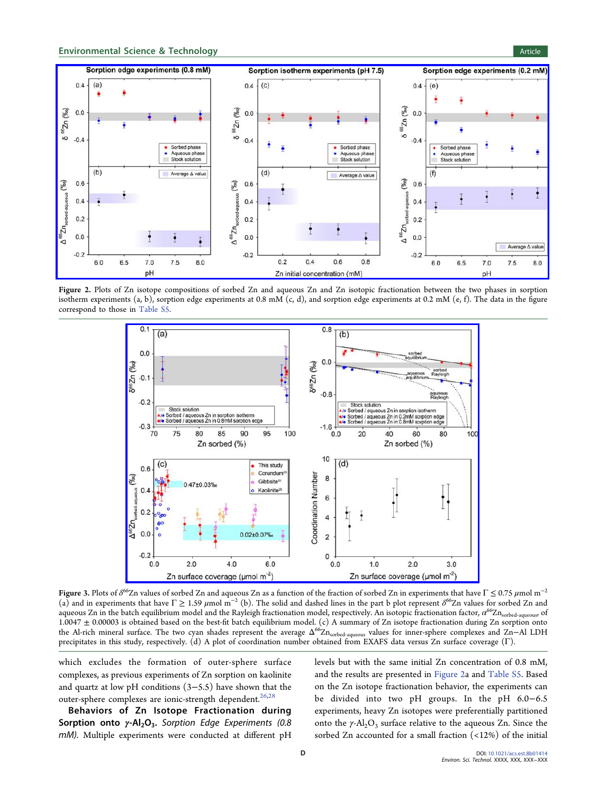<span id="page-3-0"></span>

Figure 2. Plots of Zn isotope compositions of sorbed Zn and aqueous Zn and Zn isotopic fractionation between the two phases in sorption isotherm experiments (a, b), sorption edge experiments at 0.8 mM (c, d), and sorption edge experiments at 0.2 mM (e, f). The data in the figure correspond to those in [Table S5.](http://pubs.acs.org/doi/suppl/10.1021/acs.est.8b01414/suppl_file/es8b01414_si_001.pdf)



Figure 3. Plots of  $\delta^{66}$ Zn values of sorbed Zn and aqueous Zn as a function of the fraction of sorbed Zn in experiments that have Γ  $\leq$  0.75  $\mu$ mol m $^{-2}$ (a) and in experiments that have  $\Gamma \geq 1.59 \ \mu \text{mol m}^{-2}$  (b). The solid and dashed lines in the part b plot represent  $\delta^{66}$ Zn values for sorbed Zn and aqueous Zn in the batch equilibrium model and the Rayleigh fractionation model, respectively. An isotopic fractionation factor,  $\alpha^{66}Zn_{\text{sorted-aqueous}}$  of 1.0047 ± 0.00003 is obtained based on the best-fit batch equilibrium model. (c) A summary of Zn isotope fractionation during Zn sorption onto the Al-rich mineral surface. The two cyan shades represent the average  $Δ^{66}Zn<sub>sorted-aqueous</sub>$  values for inner-sphere complexes and Zn−Al LDH precipitates in this study, respectively. (d) A plot of coordination number obtained from EXAFS data versus Zn surface coverage (Γ).

which excludes the formation of outer-sphere surface complexes, as previous experiments of Zn sorption on kaolinite and quartz at low pH conditions (3−5.5) have shown that the outer-sphere complexes are ionic-strength dependent.<sup>[26](#page-8-0),[28](#page-8-0)</sup>

Behaviors of Zn Isotope Fractionation during Sorption onto  $\gamma$ -Al<sub>2</sub>O<sub>3</sub>. Sorption Edge Experiments (0.8 mM). Multiple experiments were conducted at different pH levels but with the same initial Zn concentration of 0.8 mM, and the results are presented in Figure 2a and [Table S5](http://pubs.acs.org/doi/suppl/10.1021/acs.est.8b01414/suppl_file/es8b01414_si_001.pdf). Based on the Zn isotope fractionation behavior, the experiments can be divided into two pH groups. In the pH 6.0−6.5 experiments, heavy Zn isotopes were preferentially partitioned onto the  $\gamma$ -Al<sub>2</sub>O<sub>3</sub> surface relative to the aqueous Zn. Since the sorbed Zn accounted for a small fraction (<12%) of the initial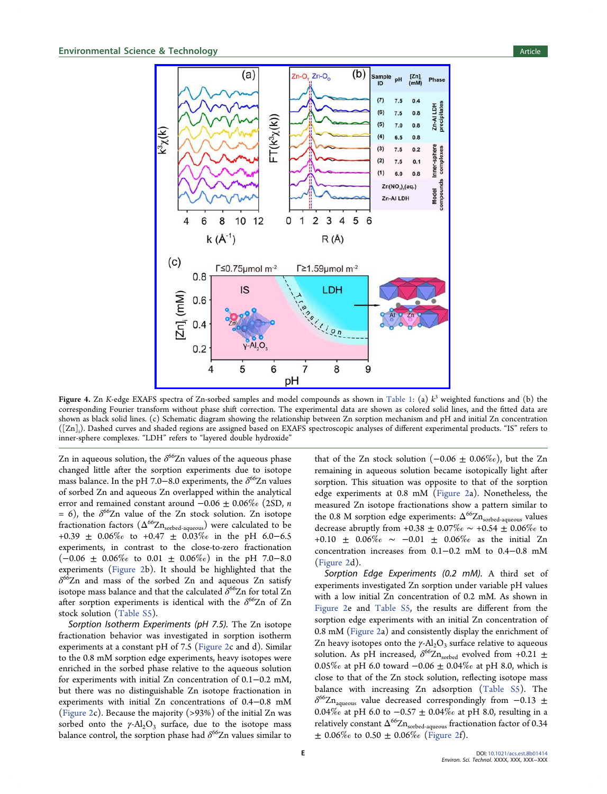<span id="page-4-0"></span>

Figure 4. Zn K-edge EXAFS spectra of Zn-sorbed samples and model compounds as shown in [Table 1](#page-5-0): (a)  $k^3$  weighted functions and (b) the corresponding Fourier transform without phase shift correction. The experimental data are shown as colored solid lines, and the fitted data are shown as black solid lines. (c) Schematic diagram showing the relationship between Zn sorption mechanism and pH and initial Zn concentration ([Zn]i ). Dashed curves and shaded regions are assigned based on EXAFS spectroscopic analyses of different experimental products. "IS" refers to inner-sphere complexes. "LDH" refers to "layered double hydroxide"

Zn in aqueous solution, the  $\delta^{66}$ Zn values of the aqueous phase changed little after the sorption experiments due to isotope mass balance. In the pH 7.0−8.0 experiments, the  $\delta^{66}Zn$  values of sorbed Zn and aqueous Zn overlapped within the analytical error and remained constant around  $-0.06 \pm 0.06\%$  (2SD, *n* = 6), the  $\delta^{66}Zn$  value of the Zn stock solution. Zn isotope fractionation factors ( $\Delta^{66}Zn_{\text{sorted-aqueous}}$ ) were calculated to be +0.39 ± 0.06‰ to +0.47 ± 0.03‰ in the pH 6.0−6.5 experiments, in contrast to the close-to-zero fractionation (−0.06 ± 0.06‰ to 0.01 ± 0.06‰) in the pH 7.0−8.0 experiments [\(Figure 2](#page-3-0)b). It should be highlighted that the  $\delta^{66}$ Zn and mass of the sorbed Zn and aqueous Zn satisfy isotope mass balance and that the calculated  $\delta^{66}$ Zn for total Zn after sorption experiments is identical with the  $\delta^{66}$ Zn of Zn stock solution ([Table S5\)](http://pubs.acs.org/doi/suppl/10.1021/acs.est.8b01414/suppl_file/es8b01414_si_001.pdf).

Sorption Isotherm Experiments (pH 7.5). The Zn isotope fractionation behavior was investigated in sorption isotherm experiments at a constant pH of 7.5 ([Figure 2](#page-3-0)c and d). Similar to the 0.8 mM sorption edge experiments, heavy isotopes were enriched in the sorbed phase relative to the aqueous solution for experiments with initial Zn concentration of 0.1−0.2 mM, but there was no distinguishable Zn isotope fractionation in experiments with initial Zn concentrations of 0.4−0.8 mM ([Figure 2](#page-3-0)c). Because the majority (>93%) of the initial Zn was sorbed onto the  $\gamma$ -Al<sub>2</sub>O<sub>3</sub> surface, due to the isotope mass balance control, the sorption phase had  $\delta^{66}$ Zn values similar to that of the Zn stock solution  $(-0.06 \pm 0.06\%)$ , but the Zn remaining in aqueous solution became isotopically light after sorption. This situation was opposite to that of the sorption edge experiments at 0.8 mM [\(Figure 2a](#page-3-0)). Nonetheless, the measured Zn isotope fractionations show a pattern similar to the 0.8 M sorption edge experiments:  $\Delta^{66}Zn_{\text{sorted-aqueous}}$  values decrease abruptly from +0.38  $\pm$  0.07‰  $\sim$  +0.54  $\pm$  0.06‰ to +0.10 ± 0.06‰ ∼ −0.01 ± 0.06‰ as the initial Zn concentration increases from 0.1−0.2 mM to 0.4−0.8 mM ([Figure 2](#page-3-0)d).

Sorption Edge Experiments (0.2 mM). A third set of experiments investigated Zn sorption under variable pH values with a low initial Zn concentration of 0.2 mM. As shown in [Figure 2](#page-3-0)e and [Table S5,](http://pubs.acs.org/doi/suppl/10.1021/acs.est.8b01414/suppl_file/es8b01414_si_001.pdf) the results are different from the sorption edge experiments with an initial Zn concentration of 0.8 mM [\(Figure 2a](#page-3-0)) and consistently display the enrichment of Zn heavy isotopes onto the  $\gamma$ -Al<sub>2</sub>O<sub>3</sub> surface relative to aqueous solution. As pH increased,  $\delta^{66}Zn_{\text{sorted}}$  evolved from +0.21  $\pm$ 0.05‰ at pH 6.0 toward −0.06 ± 0.04‰ at pH 8.0, which is close to that of the Zn stock solution, reflecting isotope mass balance with increasing Zn adsorption ([Table S5](http://pubs.acs.org/doi/suppl/10.1021/acs.est.8b01414/suppl_file/es8b01414_si_001.pdf)). The  $\delta^{66}$ Zn<sub>aqueous</sub> value decreased correspondingly from −0.13 ± 0.04‰ at pH 6.0 to −0.57 ± 0.04‰ at pH 8.0, resulting in a relatively constant  $\Delta^{66}\mathrm{Zn}_{\text{sorted-aqueous}}$  fractionation factor of  $0.34$  $\pm$  0.06‰ to 0.50  $\pm$  0.06‰ [\(Figure 2f](#page-3-0)).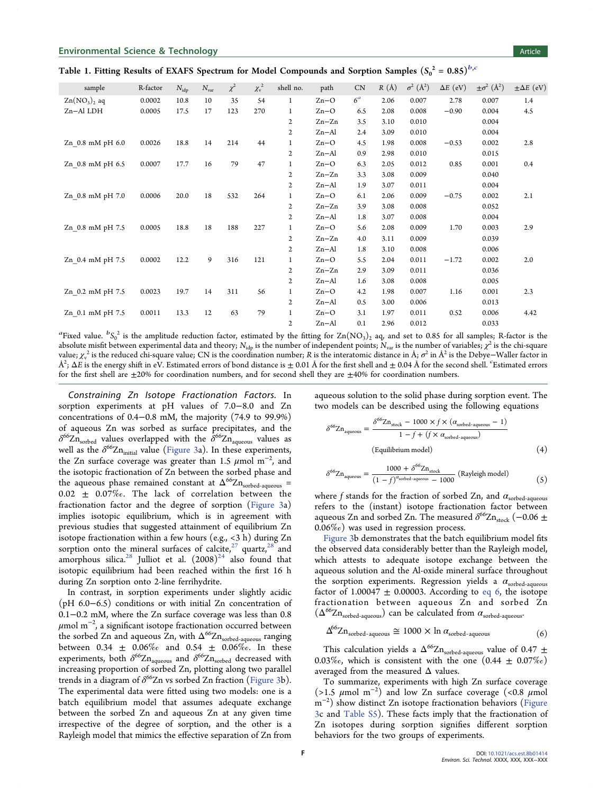<span id="page-5-0"></span>

| Table 1. Fitting Results of EXAFS Spectrum for Model Compounds and Sorption Samples $(S_0^2 = 0.85)^{b,c}$ |  |  |  |  |  |
|------------------------------------------------------------------------------------------------------------|--|--|--|--|--|
|------------------------------------------------------------------------------------------------------------|--|--|--|--|--|

| sample           | R-factor | $N_{\rm idp}$ | $N_{\rm var}$ | $\chi^2$ | $\chi_{\rm v}^{\;2}$ | shell no.    | path      | CN             | R(A) | $\sigma^2$ (Å <sup>2</sup> ) | $\Delta E$ (eV) | $\pm \sigma^2$ (Å <sup>2</sup> ) | $\pm \Delta E$ (eV) |
|------------------|----------|---------------|---------------|----------|----------------------|--------------|-----------|----------------|------|------------------------------|-----------------|----------------------------------|---------------------|
| $Zn(NO3)2$ aq    | 0.0002   | 10.8          | 10            | 35       | 54                   | $\mathbf{1}$ | $Zn-O$    | 6 <sup>a</sup> | 2.06 | 0.007                        | 2.78            | 0.007                            | 1.4                 |
| Zn-Al LDH        | 0.0005   | 17.5          | 17            | 123      | 270                  | 1            | $Zn-O$    | 6.5            | 2.08 | 0.008                        | $-0.90$         | 0.004                            | 4.5                 |
|                  |          |               |               |          |                      | 2            | $Zn-Zn$   | 3.5            | 3.10 | 0.010                        |                 | 0.004                            |                     |
|                  |          |               |               |          |                      | $\mathbf{2}$ | $Zn - Al$ | 2.4            | 3.09 | 0.010                        |                 | 0.004                            |                     |
| Zn_0.8 mM pH 6.0 | 0.0026   | 18.8          | 14            | 214      | 44                   | $\mathbf{1}$ | $Zn-O$    | 4.5            | 1.98 | 0.008                        | $-0.53$         | 0.002                            | 2.8                 |
|                  |          |               |               |          |                      | $\mathbf{2}$ | $Zn - Al$ | 0.9            | 2.98 | 0.010                        |                 | 0.015                            |                     |
| Zn 0.8 mM pH 6.5 | 0.0007   | 17.7          | 16            | 79       | 47                   | $\mathbf{1}$ | $Zn-O$    | 6.3            | 2.05 | 0.012                        | 0.85            | 0.001                            | 0.4                 |
|                  |          |               |               |          |                      | 2            | $Zn-Zn$   | 3.3            | 3.08 | 0.009                        |                 | 0.040                            |                     |
|                  |          |               |               |          |                      | 2            | $Zn - Al$ | 1.9            | 3.07 | 0.011                        |                 | 0.004                            |                     |
| Zn 0.8 mM pH 7.0 | 0.0006   | 20.0          | 18            | 532      | 264                  | $\mathbf{1}$ | $Zn-O$    | 6.1            | 2.06 | 0.009                        | $-0.75$         | 0.002                            | 2.1                 |
|                  |          |               |               |          |                      | $\mathbf{2}$ | $Zn-Zn$   | 3.9            | 3.08 | 0.008                        |                 | 0.052                            |                     |
|                  |          |               |               |          |                      | 2            | $Zn - Al$ | 1.8            | 3.07 | 0.008                        |                 | 0.004                            |                     |
| Zn 0.8 mM pH 7.5 | 0.0005   | 18.8          | 18            | 188      | 227                  | $\mathbf{1}$ | $Zn-O$    | 5.6            | 2.08 | 0.009                        | 1.70            | 0.003                            | 2.9                 |
|                  |          |               |               |          |                      | $\mathbf{2}$ | $Zn-Zn$   | 4.0            | 3.11 | 0.009                        |                 | 0.039                            |                     |
|                  |          |               |               |          |                      | 2            | $Zn - Al$ | 1.8            | 3.10 | 0.008                        |                 | 0.006                            |                     |
| Zn 0.4 mM pH 7.5 | 0.0002   | 12.2          | 9             | 316      | 121                  | $\mathbf{1}$ | $Zn-O$    | 5.5            | 2.04 | 0.011                        | $-1.72$         | 0.002                            | 2.0                 |
|                  |          |               |               |          |                      | $\mathbf{2}$ | $Zn-Zn$   | 2.9            | 3.09 | 0.011                        |                 | 0.036                            |                     |
|                  |          |               |               |          |                      | $\mathbf{2}$ | $Zn - Al$ | 1.6            | 3.08 | 0.008                        |                 | 0.005                            |                     |
| Zn_0.2 mM pH 7.5 | 0.0023   | 19.7          | 14            | 311      | 56                   | $\mathbf{1}$ | $Zn-O$    | 4.2            | 1.98 | 0.007                        | 1.16            | 0.001                            | 2.3                 |
|                  |          |               |               |          |                      | 2            | $Zn - Al$ | 0.5            | 3.00 | 0.006                        |                 | 0.013                            |                     |
| Zn 0.1 mM pH 7.5 | 0.0011   | 13.3          | 12            | 63       | 79                   | $\mathbf{1}$ | $Zn-O$    | 3.1            | 1.97 | 0.011                        | 0.52            | 0.006                            | 4.42                |
|                  |          |               |               |          |                      | 2            | $Zn - Al$ | 0.1            | 2.96 | 0.012                        |                 | 0.033                            |                     |

<sup>a</sup> Fixed value.  ${}^bS_0{}^2$  is the amplitude reduction factor, estimated by the fitting for  $\rm Zn(NO_3)_2$  aq, and set to 0.85 for all samples; R-factor is the absolute misfit between experimental data and theory; N<sub>idp</sub> is the number of independent points; N<sub>var</sub> is the number of variables;  $\chi^2$  is the chi-square value;  $\chi_v^2$  is the reduced chi-square value; CN is the coordination number; R is the interatomic distance in Å;  $\sigma^2$  in Å<sup>2</sup> is the Debye–Waller factor in  $\AA^2$ ;  $\Delta E$  is the energy shift in eV. Estimated errors of bond distance is  $\pm$  0.01 Å for the first shell and  $\pm$  0.04 Å for the second shell. Estimated errors for the first shell are ±20% for coordination numbers, and for second shell they are ±40% for coordination numbers.

Constraining Zn Isotope Fractionation Factors. In sorption experiments at pH values of 7.0−8.0 and Zn concentrations of 0.4−0.8 mM, the majority (74.9 to 99.9%) of aqueous Zn was sorbed as surface precipitates, and the  $\delta^{66}Zn_{\text{sorted}}$  values overlapped with the  $\delta^{66}Zn_{\text{aqueous}}$  values as well as the  $\delta^{66}Zn_{initial}$  value ([Figure 3](#page-3-0)a). In these experiments, the Zn surface coverage was greater than 1.5  $\mu$ mol m $^{-2}$ , and the isotopic fractionation of Zn between the sorbed phase and the aqueous phase remained constant at  $\Delta^{66}Zn_{\text{sorted-aqueous}}$  =  $0.02 \pm 0.07\%$ . The lack of correlation between the fractionation factor and the degree of sorption ([Figure 3](#page-3-0)a) implies isotopic equilibrium, which is in agreement with previous studies that suggested attainment of equilibrium Zn isotope fractionation within a few hours (e.g., <3 h) during Zn sorption onto the mineral surfaces of calcite, $27$  [quartz,](#page-8-0) $28$  [and](#page-8-0) amorphous silica.<sup>28</sup> Julliot et al.  $(2008)^{24}$  [also found that](#page-8-0) isotopic equilibrium had been reached within the first 16 h during Zn sorption onto 2-line ferrihydrite.

In contrast, in sorption experiments under slightly acidic (pH 6.0−6.5) conditions or with initial Zn concentration of 0.1−0.2 mM, where the Zn surface coverage was less than 0.8  $\mu$ mol m $^{-2}$ , a significant isotope fractionation occurred between the sorbed Zn and aqueous Zn, with  $\Delta^{66}Zn_{\text{sorted-aqueous}}$  ranging between 0.34  $\pm$  0.06% and 0.54  $\pm$  0.06%. In these experiments, both  $\delta^{66}Zn_{\text{aqueous}}$  and  $\delta^{66}Zn_{\text{sorted}}$  decreased with increasing proportion of sorbed Zn, plotting along two parallel trends in a diagram of  $\delta^{66}Zn$  vs sorbed Zn fraction ([Figure 3](#page-3-0)b). The experimental data were fitted using two models: one is a batch equilibrium model that assumes adequate exchange between the sorbed Zn and aqueous Zn at any given time irrespective of the degree of sorption, and the other is a Rayleigh model that mimics the effective separation of Zn from

aqueous solution to the solid phase during sorption event. The two models can be described using the following equations

$$
\delta^{66} \text{Zn}_{\text{aqueous}} = \frac{\delta^{66} \text{Zn}_{\text{stock}} - 1000 \times f \times (\alpha_{\text{sorted-aqueous}} - 1)}{1 - f + (f \times \alpha_{\text{sorted-aqueous}})} \tag{4}
$$

$$
\delta^{66} \text{Zn}_{\text{aqueous}} = \frac{1000 + \delta^{66} \text{Zn}_{\text{stock}}}{(1 - f)^{\alpha_{\text{sorted-aqueous}}} - 1000} \text{ (Rayleigh model)} \tag{5}
$$

where f stands for the fraction of sorbed Zn, and  $\alpha_{\text{sorted-aqueous}}$ refers to the (instant) isotope fractionation factor between aqueous Zn and sorbed Zn. The measured  $\delta^{66}Zn_{\text{stock}}$  (-0.06  $\pm$ 0.06‰) was used in regression process.

[Figure 3b](#page-3-0) demonstrates that the batch equilibrium model fits the observed data considerably better than the Rayleigh model, which attests to adequate isotope exchange between the aqueous solution and the Al-oxide mineral surface throughout the sorption experiments. Regression yields a  $\alpha_{\text{sorted-aqueous}}$ factor of 1.00047  $\pm$  0.00003. According to eq 6, the isotope fractionation between aqueous Zn and sorbed Zn  $(\Delta^{66}Zn_{sorted-aqueous})$  can be calculated from  $\alpha_{sorted-aqueous}$ .

$$
\Delta^{66} \text{Zn}_{\text{sorted-aqueous}} \cong 1000 \times \ln \alpha_{\text{sorted-aqueous}} \tag{6}
$$

This calculation yields a  $\Delta^{66}Zn_{\text{sorted-aqueous}}$  value of 0.47  $\pm$ 0.03‰, which is consistent with the one  $(0.44 \pm 0.07\%)$ averaged from the measured  $\Delta$  values.

To summarize, experiments with high Zn surface coverage (>1.5  $\mu$ mol m<sup>-2</sup>) and low Zn surface coverage (<0.8  $\mu$ mol m<sup>-2</sup>) show distinct Zn isotope fractionation behaviors [\(Figure](#page-3-0) [3](#page-3-0)c and [Table S5](http://pubs.acs.org/doi/suppl/10.1021/acs.est.8b01414/suppl_file/es8b01414_si_001.pdf)). These facts imply that the fractionation of Zn isotopes during sorption signifies different sorption behaviors for the two groups of experiments.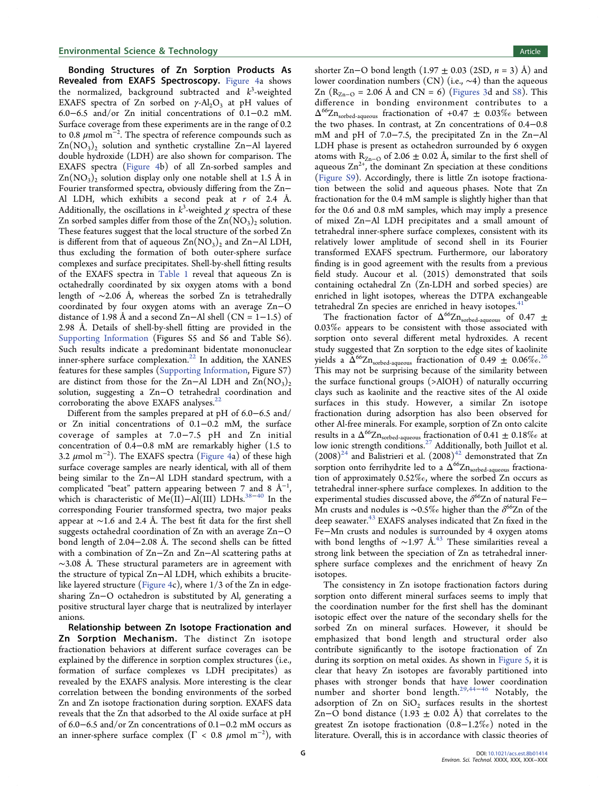## Environmental Science & Technology **Article Article Article Article Article**

Bonding Structures of Zn Sorption Products As Revealed from EXAFS Spectroscopy. [Figure 4a](#page-4-0) shows the normalized, background subtracted and  $k^3$ -weighted EXAFS spectra of Zn sorbed on  $\gamma$ -Al<sub>2</sub>O<sub>3</sub> at pH values of 6.0−6.5 and/or Zn initial concentrations of 0.1−0.2 mM. Surface coverage from these experiments are in the range of 0.2 to 0.8  $\mu$ mol m $^{-2}$ . The spectra of reference compounds such as  $Zn(NO<sub>3</sub>)$ <sub>2</sub> solution and synthetic crystalline Zn–Al layered double hydroxide (LDH) are also shown for comparison. The EXAFS spectra [\(Figure 4b](#page-4-0)) of all Zn-sorbed samples and  $\text{Zn}(\text{NO}_3)$ <sub>2</sub> solution display only one notable shell at 1.5 Å in Fourier transformed spectra, obviously differing from the Zn− Al LDH, which exhibits a second peak at  $r$  of 2.4 Å. Additionally, the oscillations in  $k^3$ -weighted  $\chi$  spectra of these Zn sorbed samples differ from those of the  $\text{Zn}(\text{NO}_3)_2$  solution. These features suggest that the local structure of the sorbed Zn is different from that of aqueous  $\text{Zn}(\text{NO}_3)_2$  and  $\text{Zn–Al LDH}$ , thus excluding the formation of both outer-sphere surface complexes and surface precipitates. Shell-by-shell fitting results of the EXAFS spectra in [Table 1](#page-5-0) reveal that aqueous Zn is octahedrally coordinated by six oxygen atoms with a bond length of ∼2.06 Å, whereas the sorbed Zn is tetrahedrally coordinated by four oxygen atoms with an average Zn−O distance of 1.98 Å and a second Zn–Al shell (CN =  $1-1.5$ ) of 2.98 Å. Details of shell-by-shell fitting are provided in the [Supporting Information](http://pubs.acs.org/doi/suppl/10.1021/acs.est.8b01414/suppl_file/es8b01414_si_001.pdf) (Figures S5 and S6 and Table S6). Such results indicate a predominant bidentate mononuclear inner-sphere surface complexation.<sup>22</sup> [In addition, the XANES](#page-8-0) features for these samples ([Supporting Information](http://pubs.acs.org/doi/suppl/10.1021/acs.est.8b01414/suppl_file/es8b01414_si_001.pdf), Figure S7) are distinct from those for the Zn−Al LDH and  $\text{Zn}(\text{NO}_3)$ <sub>2</sub> solution, suggesting a Zn−O tetrahedral coordination and corroborating the above EXAFS analyses.<sup>22</sup>

Different from the samples prepared at pH of 6.0−6.5 and/ or Zn initial concentrations of 0.1−0.2 mM, the surface coverage of samples at 7.0−7.5 pH and Zn initial concentration of 0.4−0.8 mM are remarkably higher (1.5 to 3.2  $\mu$ mol m $^{-2}$ ). The EXAFS spectra ([Figure 4](#page-4-0)a) of these high surface coverage samples are nearly identical, with all of them being similar to the Zn−Al LDH standard spectrum, with a complicated "beat" pattern appearing between 7 and 8  $\AA^{-1}$ , which is characteristic of Me(II)−Al(III) LDHs.<sup>[38](#page-8-0)-[40](#page-8-0)</sup> In the corresponding Fourier transformed spectra, two major peaks appear at ∼1.6 and 2.4 Å. The best fit data for the first shell suggests octahedral coordination of Zn with an average Zn−O bond length of 2.04−2.08 Å. The second shells can be fitted with a combination of Zn−Zn and Zn−Al scattering paths at  $~\sim$ 3.08 Å. These structural parameters are in agreement with the structure of typical Zn−Al LDH, which exhibits a brucitelike layered structure [\(Figure 4c](#page-4-0)), where 1/3 of the Zn in edgesharing Zn−O octahedron is substituted by Al, generating a positive structural layer charge that is neutralized by interlayer anions.

Relationship between Zn Isotope Fractionation and Zn Sorption Mechanism. The distinct Zn isotope fractionation behaviors at different surface coverages can be explained by the difference in sorption complex structures (i.e., formation of surface complexes vs LDH precipitates) as revealed by the EXAFS analysis. More interesting is the clear correlation between the bonding environments of the sorbed Zn and Zn isotope fractionation during sorption. EXAFS data reveals that the Zn that adsorbed to the Al oxide surface at pH of 6.0−6.5 and/or Zn concentrations of 0.1−0.2 mM occurs as an inner-sphere surface complex ( $\Gamma$  < 0.8  $\mu$ mol m<sup>-2</sup>), with

shorter Zn–O bond length (1.97  $\pm$  0.03 (2SD, n = 3) Å) and lower coordination numbers (CN) (i.e., ∼4) than the aqueous Zn ( $R_{Zn-O}$  = 2.06 Å and CN = 6) ([Figures 3d](#page-3-0) and [S8\)](http://pubs.acs.org/doi/suppl/10.1021/acs.est.8b01414/suppl_file/es8b01414_si_001.pdf). This difference in bonding environment contributes to a  $\Delta^{66}Zn_{\text{sorted-aqueous}}$  fractionation of +0.47  $\pm$  0.03% between the two phases. In contrast, at Zn concentrations of 0.4−0.8 mM and pH of 7.0−7.5, the precipitated Zn in the Zn−Al LDH phase is present as octahedron surrounded by 6 oxygen atoms with R<sub>Zn−O</sub> of 2.06  $\pm$  0.02 Å, similar to the first shell of aqueous  $Zn^{2+}$ , the dominant  $Zn$  speciation at these conditions ([Figure S9](http://pubs.acs.org/doi/suppl/10.1021/acs.est.8b01414/suppl_file/es8b01414_si_001.pdf)). Accordingly, there is little Zn isotope fractionation between the solid and aqueous phases. Note that Zn fractionation for the 0.4 mM sample is slightly higher than that for the 0.6 and 0.8 mM samples, which may imply a presence of mixed Zn−Al LDH precipitates and a small amount of tetrahedral inner-sphere surface complexes, consistent with its relatively lower amplitude of second shell in its Fourier transformed EXAFS spectrum. Furthermore, our laboratory finding is in good agreement with the results from a previous field study. Aucour et al. (2015) demonstrated that soils containing octahedral Zn (Zn-LDH and sorbed species) are enriched in light isotopes, whereas the DTPA exchangeable tetrahedral Zn species are enriched in heavy isotopes.<sup>4</sup>

The fractionation factor of  $\Delta^{66}Zn_{\text{sorted-aqueous}}$  of 0.47  $\pm$ 0.03‰ appears to be consistent with those associated with sorption onto several different metal hydroxides. A recent study suggested that Zn sorption to the edge sites of kaolinite yields a  $\Delta^{66}Zn_{\text{sorted-aqueous}}$  fractionation of 0.49  $\pm$  0.06%.<sup>[26](#page-8-0)</sup> This may not be surprising because of the similarity between the surface functional groups (>AlOH) of naturally occurring clays such as kaolinite and the reactive sites of the Al oxide surfaces in this study. However, a similar Zn isotope fractionation during adsorption has also been observed for other Al-free minerals. For example, sorption of Zn onto calcite results in a  $\Delta^{66}Zn_{\text{sorted-aqueous}}$  fractionation of 0.41  $\pm$  0.18% at low ionic strength conditions.<sup>27</sup> [Additionally, both Juillot et al.](#page-8-0)  $(2008)^{24}$  and Balistrieri et al.  $(2008)^{42}$  [demonstrated that Zn](#page-9-0) sorption onto ferrihydrite led to a  $\Delta^{66}Zn_{\text{sorted-aqueous}}$  fractionation of approximately 0.52‰, where the sorbed Zn occurs as tetrahedral inner-sphere surface complexes. In addition to the experimental studies discussed above, the  $\delta^{66}Zn$  of natural Fe− Mn crusts and nodules is ~0.5‰ higher than the  $\delta^{66}Zn$  of the deep seawater.<sup>43</sup> [EXAFS analyses indicated that Zn](#page-9-0) fixed in the Fe−Mn crusts and nodules is surrounded by 4 oxygen atoms with bond lengths of ~1.97 Å.<sup>43</sup> [These similarities reveal a](#page-9-0) strong link between the speciation of Zn as tetrahedral innersphere surface complexes and the enrichment of heavy Zn isotopes.

The consistency in Zn isotope fractionation factors during sorption onto different mineral surfaces seems to imply that the coordination number for the first shell has the dominant isotopic effect over the nature of the secondary shells for the sorbed Zn on mineral surfaces. However, it should be emphasized that bond length and structural order also contribute significantly to the isotope fractionation of Zn during its sorption on metal oxides. As shown in [Figure 5,](#page-7-0) it is clear that heavy Zn isotopes are favorably partitioned into phases with stronger bonds that have lower coordination number and shorter bond length.<sup>[29](#page-8-0)[,44](#page-9-0)–[46](#page-9-0)</sup> Notably, the adsorption of  $Zn$  on  $SiO<sub>2</sub>$  surfaces results in the shortest Zn–O bond distance (1.93  $\pm$  0.02 Å) that correlates to the greatest Zn isotope fractionation (0.8−1.2‰) noted in the literature. Overall, this is in accordance with classic theories of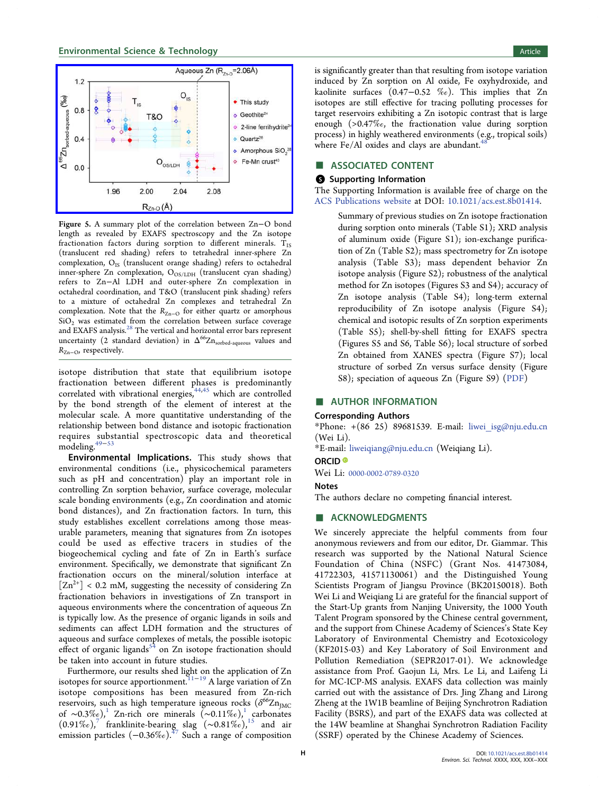## <span id="page-7-0"></span>**Environmental Science & Technology Article** Article 30 and 30 and 30 and 30 and 30 and 30 and 30 and 30 and 30 and 30 and 30 and 30 and 30 and 30 and 30 and 30 and 30 and 30 and 30 and 30 and 30 and 30 and 30 and 30 and 3



Figure 5. A summary plot of the correlation between Zn−O bond length as revealed by EXAFS spectroscopy and the Zn isotope fractionation factors during sorption to different minerals.  $T_{IS}$ (translucent red shading) refers to tetrahedral inner-sphere Zn complexation, O<sub>IS</sub> (translucent orange shading) refers to octahedral inner-sphere Zn complexation,  $O_{OS/LDH}$  (translucent cyan shading) refers to Zn−Al LDH and outer-sphere Zn complexation in octahedral coordination, and T&O (translucent pink shading) refers to a mixture of octahedral Zn complexes and tetrahedral Zn complexation. Note that the  $R_{Zn-0}$  for either quartz or amorphous  $SiO<sub>2</sub>$  was estimated from the correlation between surface coverage and EXAFS analysis.28 [The vertical and horizontal error bars represent](#page-8-0) uncertainty (2 standard deviation) in  $\Delta^{66}Zn_{\text{sorted-aqueous}}$  values and  $R_{Z_{n-{\rm O}}}$ , respectively.

isotope distribution that state that equilibrium isotope fractionation between different phases is predominantly correlated with vibrational energies,  $44,45$  $44,45$  $44,45$  which are controlled by the bond strength of the element of interest at the molecular scale. A more quantitative understanding of the relationship between bond distance and isotopic fractionation requires substantial spectroscopic data and theoretical modeling[.49](#page-9-0)<sup>−</sup>[53](#page-9-0)

Environmental Implications. This study shows that environmental conditions (i.e., physicochemical parameters such as pH and concentration) play an important role in controlling Zn sorption behavior, surface coverage, molecular scale bonding environments (e.g., Zn coordination and atomic bond distances), and Zn fractionation factors. In turn, this study establishes excellent correlations among those measurable parameters, meaning that signatures from Zn isotopes could be used as effective tracers in studies of the biogeochemical cycling and fate of Zn in Earth's surface environment. Specifically, we demonstrate that significant Zn fractionation occurs on the mineral/solution interface at  $[Zn^{2+}]$  < 0.2 mM, suggesting the necessity of considering Zn fractionation behaviors in investigations of Zn transport in aqueous environments where the concentration of aqueous Zn is typically low. As the presence of organic ligands in soils and sediments can affect LDH formation and the structures of aqueous and surface complexes of metals, the possible isotopic effect of organic ligands $54$  [on Zn isotope fractionation should](#page-9-0) be taken into account in future studies.

Furthermore, our results shed light on the application of Zn isotopes for source apportionment.<sup>11−[19](#page-8-0)</sup> A large variation of Zn isotope compositions has been measured from Zn-rich reservoirs, such as high temperature igneous rocks ( $\delta^{66}Zn_{IMC}$ of ∼0.3‰),<sup>1</sup> [Zn-rich ore minerals \(](#page-8-0)∼0.11‰),<sup>1</sup> carbonates  $(0.91\%)$ ,<sup>7"</sup> [franklinite-bearing slag \(](#page-8-0)∼0.81‰),<sup>15</sup> [and air](#page-8-0) emission particles  $(-0.36\%)$ .<sup>47</sup> [Such a range of composition](#page-9-0)

is significantly greater than that resulting from isotope variation induced by Zn sorption on Al oxide, Fe oxyhydroxide, and kaolinite surfaces (0.47−0.52 ‰). This implies that Zn isotopes are still effective for tracing polluting processes for target reservoirs exhibiting a Zn isotopic contrast that is large enough (>0.47‰, the fractionation value during sorption process) in highly weathered environments (e.g., tropical soils) where Fe/Al oxides and clays are abundant.<sup>4</sup>

## ■ ASSOCIATED CONTENT

### **6** Supporting Information

The Supporting Information is available free of charge on the [ACS Publications website](http://pubs.acs.org) at DOI: [10.1021/acs.est.8b01414](http://pubs.acs.org/doi/abs/10.1021/acs.est.8b01414).

Summary of previous studies on Zn isotope fractionation during sorption onto minerals (Table S1); XRD analysis of aluminum oxide (Figure S1); ion-exchange purification of Zn (Table S2); mass spectrometry for Zn isotope analysis (Table S3); mass dependent behavior Zn isotope analysis (Figure S2); robustness of the analytical method for Zn isotopes (Figures S3 and S4); accuracy of Zn isotope analysis (Table S4); long-term external reproducibility of Zn isotope analysis (Figure S4); chemical and isotopic results of Zn sorption experiments (Table S5); shell-by-shell fitting for EXAFS spectra (Figures S5 and S6, Table S6); local structure of sorbed Zn obtained from XANES spectra (Figure S7); local structure of sorbed Zn versus surface density (Figure S8); speciation of aqueous Zn (Figure S9) [\(PDF](http://pubs.acs.org/doi/suppl/10.1021/acs.est.8b01414/suppl_file/es8b01414_si_001.pdf))

## ■ AUTHOR INFORMATION

## Corresponding Authors

\*Phone: +(86 25) 89681539. E-mail: [liwei\\_isg@nju.edu.cn](mailto:liwei_isg@nju.edu.cn) (Wei Li).

\*E-mail: [liweiqiang@nju.edu.cn](mailto:liweiqiang@nju.edu.cn) (Weiqiang Li).

## ORCID<sup>®</sup>

Wei Li: [0000-0002-0789-0320](http://orcid.org/0000-0002-0789-0320)

### Notes

The authors declare no competing financial interest.

## ■ ACKNOWLEDGMENTS

We sincerely appreciate the helpful comments from four anonymous reviewers and from our editor, Dr. Giammar. This research was supported by the National Natural Science Foundation of China (NSFC) (Grant Nos. 41473084, 41722303, 41571130061) and the Distinguished Young Scientists Program of Jiangsu Province (BK20150018). Both Wei Li and Weiqiang Li are grateful for the financial support of the Start-Up grants from Nanjing University, the 1000 Youth Talent Program sponsored by the Chinese central government, and the support from Chinese Academy of Sciences's State Key Laboratory of Environmental Chemistry and Ecotoxicology (KF2015-03) and Key Laboratory of Soil Environment and Pollution Remediation (SEPR2017-01). We acknowledge assistance from Prof. Gaojun Li, Mrs. Le Li, and Laifeng Li for MC-ICP-MS analysis. EXAFS data collection was mainly carried out with the assistance of Drs. Jing Zhang and Lirong Zheng at the 1W1B beamline of Beijing Synchrotron Radiation Facility (BSRS), and part of the EXAFS data was collected at the 14W beamline at Shanghai Synchrotron Radiation Facility (SSRF) operated by the Chinese Academy of Sciences.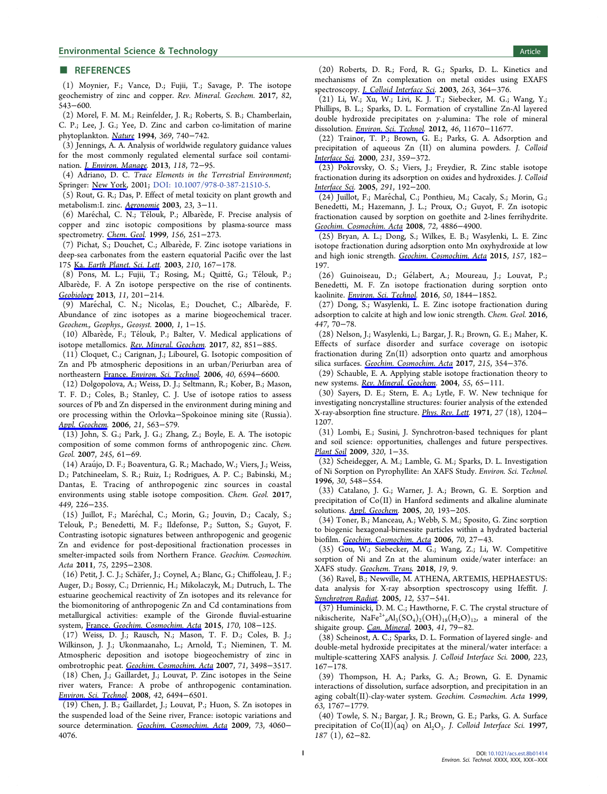#### <span id="page-8-0"></span>■ REFERENCES

(1) Moynier, F.; Vance, D.; Fujii, T.; Savage, P. The isotope geochemistry of zinc and copper. Rev. Mineral. Geochem. 2017, 82, 543−600.

(2) Morel, F. M. M.; Reinfelder, J. R.; Roberts, S. B.; Chamberlain, C. P.; Lee, J. G.; Yee, D. Zinc and carbon co-limitation of marine phytoplankton. [Nature](http://pubs.acs.org/action/showLinks?crossref=10.1038%2F369740a0&coi=1%3ACAS%3A528%3ADyaK2cXlt12lur8%253D&citationId=p_n_6_1) 1994, 369, 740−742.

(3) Jennings, A. A. Analysis of worldwide regulatory guidance values for the most commonly regulated elemental surface soil contamination. *[J. Environ. Manage](http://pubs.acs.org/action/showLinks?pmid=23399880&crossref=10.1016%2Fj.jenvman.2012.12.032&coi=1%3ACAS%3A528%3ADC%252BC3sXktVOks78%253D&citationId=p_n_11_1)*. 2013, 118, 72-95.

(4) Adriano, D. C. Trace Elements in the Terrestrial Environment; Springer: [New York](http://pubs.acs.org/action/showLinks?crossref=10.1007%2F978-0-387-21510-5&citationId=p_n_15_1), 2001; [DOI: 10.1007/978-0-387-21510-5.](http://dx.doi.org/10.1007/978-0-387-21510-5)

(5) Rout, G. R.; Das, P. Effect of metal toxicity on plant growth and metabolism:I. zinc. [Agronomie](http://pubs.acs.org/action/showLinks?crossref=10.1051%2Fagro%3A2002073&citationId=p_n_17_1) 2003, 23, 3−11.

(6) Maréchal, C. N.; Télouk, P.; Albarède, F. Precise analysis of copper and zinc isotopic compositions by plasma-source mass spectrometry. [Chem. Geol](http://pubs.acs.org/action/showLinks?crossref=10.1016%2FS0009-2541%2898%2900191-0&coi=1%3ACAS%3A528%3ADyaK1MXhslOjurs%253D&citationId=p_n_22_1). 1999, 156, 251−273.

(7) Pichat, S.; Douchet, C.; Albarede, F. Zinc isotope variations in ̀ deep-sea carbonates from the eastern equatorial Pacific over the last 175 Ka. [Earth Planet. Sci. Lett.](http://pubs.acs.org/action/showLinks?crossref=10.1016%2FS0012-821X%2803%2900106-7&coi=1%3ACAS%3A528%3ADC%252BD3sXjs1Wqtbw%253D&citationId=p_n_27_1) 2003, 210, 167-178.

(8) Pons, M. L.; Fujii, T.; Rosing, M.; Quitté, G.; Télouk, P.; Albarède, F. A Zn isotope perspective on the rise of continents. [Geobiology](http://pubs.acs.org/action/showLinks?pmid=23421593&crossref=10.1111%2Fgbi.12030&coi=1%3ACAS%3A528%3ADC%252BC3sXosVKksL4%253D&citationId=p_n_32_1) 2013, 11, 201−214.

(9) Maréchal, C. N.; Nicolas, E.; Douchet, C.; Albarède, F. Abundance of zinc isotopes as a marine biogeochemical tracer. Geochem., Geophys., Geosyst. 2000, 1, 1−15.

(10) Albarède, F.; Télouk, P.; Balter, V. Medical applications of isotope metallomics. [Rev. Mineral. Geochem](http://pubs.acs.org/action/showLinks?crossref=10.2138%2Frmg.2017.82.20&coi=1%3ACAS%3A528%3ADC%252BC1cXhtVSktrbI&citationId=p_n_41_1). 2017, 82, 851−885.

(11) Cloquet, C.; Carignan, J.; Libourel, G. Isotopic composition of Zn and Pb atmospheric depositions in an urban/Periurban area of northeastern France. [Environ. Sci. Technol](http://pubs.acs.org/action/showLinks?system=10.1021%2Fes0609654&citationId=p_n_46_1). 2006, 40, 6594−6600.

(12) Dolgopolova, A.; Weiss, D. J.; Seltmann, R.; Kober, B.; Mason, T. F. D.; Coles, B.; Stanley, C. J. Use of isotope ratios to assess sources of Pb and Zn dispersed in the environment during mining and ore processing within the Orlovka−Spokoinoe mining site (Russia). [Appl. Geochem](http://pubs.acs.org/action/showLinks?crossref=10.1016%2Fj.apgeochem.2005.12.014&coi=1%3ACAS%3A528%3ADC%252BD28XivVOisLs%253D&citationId=p_n_53_1). 2006, 21, 563−579.

(13) John, S. G.; Park, J. G.; Zhang, Z.; Boyle, E. A. The isotopic composition of some common forms of anthropogenic zinc. Chem. Geol. 2007, 245, 61−69.

(14) Araujo, D. F.; Boaventura, G. R.; Machado, W.; Viers, J.; Weiss, ́ D.; Patchineelam, S. R.; Ruiz, I.; Rodrigues, A. P. C.; Babinski, M.; Dantas, E. Tracing of anthropogenic zinc sources in coastal environments using stable isotope composition. Chem. Geol. 2017, 449, 226−235.

(15) Juillot, F.; Maréchal, C.; Morin, G.; Jouvin, D.; Cacaly, S.; Telouk, P.; Benedetti, M. F.; Ildefonse, P.; Sutton, S.; Guyot, F. Contrasting isotopic signatures between anthropogenic and geogenic Zn and evidence for post-depositional fractionation processes in smelter-impacted soils from Northern France. Geochim. Cosmochim. Acta 2011, 75, 2295−2308.

(16) Petit, J. C. J.; Schafer, J.; Coynel, A.; Blanc, G.; Chiffoleau, J. F.; ̈ Auger, D.; Bossy, C.; Drriennic, H.; Mikolaczyk, M.; Dutruch, L. The estuarine geochemical reactivity of Zn isotopes and its relevance for the biomonitoring of anthropogenic Zn and Cd contaminations from metallurgical activities: example of the Gironde fluvial-estuarine system, France. [Geochim. Cosmochim. Acta](http://pubs.acs.org/action/showLinks?crossref=10.1016%2Fj.gca.2015.08.004&coi=1%3ACAS%3A528%3ADC%252BC2MXhsVGnu77I&citationId=p_n_81_1) 2015, 170, 108−125.

(17) Weiss, D. J.; Rausch, N.; Mason, T. F. D.; Coles, B. J.; Wilkinson, J. J.; Ukonmaanaho, L.; Arnold, T.; Nieminen, T. M. Atmospheric deposition and isotope biogeochemistry of zinc in ombrotrophic peat. [Geochim. Cosmochim. Acta](http://pubs.acs.org/action/showLinks?crossref=10.1016%2Fj.gca.2007.04.026&coi=1%3ACAS%3A528%3ADC%252BD2sXnsVSrtbw%253D&citationId=p_n_87_1) 2007, 71, 3498−3517.

(18) Chen, J.; Gaillardet, J.; Louvat, P. Zinc isotopes in the Seine river waters, France: A probe of anthropogenic contamination. [Environ. Sci. Technol.](http://pubs.acs.org/action/showLinks?system=10.1021%2Fes800725z&coi=1%3ACAS%3A528%3ADC%252BD1cXovFSks74%253D&citationId=p_n_92_1) 2008, 42, 6494−6501.

(19) Chen, J. B.; Gaillardet, J.; Louvat, P.; Huon, S. Zn isotopes in the suspended load of the Seine river, France: isotopic variations and source determination. [Geochim. Cosmochim. Acta](http://pubs.acs.org/action/showLinks?crossref=10.1016%2Fj.gca.2009.04.017&coi=1%3ACAS%3A528%3ADC%252BD1MXmvVynsLc%253D&citationId=p_n_97_1) 2009, 73, 4060− 4076.

(20) Roberts, D. R.; Ford, R. G.; Sparks, D. L. Kinetics and mechanisms of Zn complexation on metal oxides using EXAFS spectroscopy. [J. Colloid Interface Sci](http://pubs.acs.org/action/showLinks?pmid=12909025&crossref=10.1016%2FS0021-9797%2803%2900281-9&coi=1%3ACAS%3A528%3ADC%252BD3sXkslKitrc%253D&citationId=p_n_101_1). 2003, 263, 364−376.

(21) Li, W.; Xu, W.; Livi, K. J. T.; Siebecker, M. G.; Wang, Y.; Phillips, B. L.; Sparks, D. L. Formation of crystalline Zn-Al layered double hydroxide precipitates on γ-alumina: The role of mineral dissolution. [Environ. Sci. Technol](http://pubs.acs.org/action/showLinks?system=10.1021%2Fes3018094&coi=1%3ACAS%3A528%3ADC%252BC38XhsVOiu7jE&citationId=p_n_107_1). 2012, 46, 11670−11677.

(22) Trainor, T. P.; Brown, G. E.; Parks, G. A. Adsorption and precipitation of aqueous Zn (II) on alumina powders. J. Colloid [Interface Sci.](http://pubs.acs.org/action/showLinks?crossref=10.1006%2Fjcis.2000.7111&citationId=p_n_112_1) 2000, 231, 359−372.

(23) Pokrovsky, O. S.; Viers, J.; Freydier, R. Zinc stable isotope fractionation during its adsorption on oxides and hydroxides. J. Colloid [Interface Sci.](http://pubs.acs.org/action/showLinks?crossref=10.1016%2Fj.jcis.2005.04.079&citationId=p_n_117_1) 2005, 291, 192−200.

(24) Juillot, F.; Maréchal, C.; Ponthieu, M.; Cacaly, S.; Morin, G.; Benedetti, M.; Hazemann, J. L.; Proux, O.; Guyot, F. Zn isotopic fractionation caused by sorption on goethite and 2-lines ferrihydrite. [Geochim. Cosmochim. Acta](http://pubs.acs.org/action/showLinks?crossref=10.1016%2Fj.gca.2008.07.007&coi=1%3ACAS%3A528%3ADC%252BD1cXhtFentLbN&citationId=p_n_123_1) 2008, 72, 4886−4900.

(25) Bryan, A. L.; Dong, S.; Wilkes, E. B.; Wasylenki, L. E. Zinc isotope fractionation during adsorption onto Mn oxyhydroxide at low and high ionic strength. [Geochim. Cosmochim. Acta](http://pubs.acs.org/action/showLinks?crossref=10.1016%2Fj.gca.2015.01.026&coi=1%3ACAS%3A528%3ADC%252BC2MXjt1Smsbw%253D&citationId=p_n_128_1) 2015, 157, 182− 197.

(26) Guinoiseau, D.; Gelabert, A.; Moureau, J.; Louvat, P.; ́ Benedetti, M. F. Zn isotope fractionation during sorption onto kaolinite. [Environ. Sci. Technol](http://pubs.acs.org/action/showLinks?system=10.1021%2Facs.est.5b05347&coi=1%3ACAS%3A528%3ADC%252BC28XmvF2htA%253D%253D&citationId=p_n_132_1). 2016, 50, 1844-1852.

(27) Dong, S.; Wasylenki, L. E. Zinc isotope fractionation during adsorption to calcite at high and low ionic strength. Chem. Geol. 2016, 447, 70−78.

(28) Nelson, J.; Wasylenki, L.; Bargar, J. R.; Brown, G. E.; Maher, K. Effects of surface disorder and surface coverage on isotopic fractionation during Zn(II) adsorption onto quartz and amorphous silica surfaces. [Geochim. Cosmochim. Acta](http://pubs.acs.org/action/showLinks?crossref=10.1016%2Fj.gca.2017.08.003&coi=1%3ACAS%3A528%3ADC%252BC2sXhtlWgs77O&citationId=p_n_143_1) 2017, 215, 354−376.

(29) Schauble, E. A. Applying stable isotope fractionation theory to new systems. [Rev. Mineral. Geochem](http://pubs.acs.org/action/showLinks?crossref=10.2138%2Fgsrmg.55.1.65&coi=1%3ACAS%3A528%3ADC%252BD2cXkvVOgt74%253D&citationId=p_n_147_1). 2004, 55, 65-111.

(30) Sayers, D. E.; Stern, E. A.; Lytle, F. W. New technique for investigating noncrystalline structures: fourier analysis of the extended X-ray-absorption fine structure. *[Phys. Rev. Lett](http://pubs.acs.org/action/showLinks?crossref=10.1103%2FPhysRevLett.27.1204&coi=1%3ACAS%3A528%3ADyaE3MXlsFGrsLg%253D&citationId=p_n_152_1).* 1971, 27 (18), 1204− 1207.

(31) Lombi, E.; Susini, J. Synchrotron-based techniques for plant and soil science: opportunities, challenges and future perspectives. [Plant Soil](http://pubs.acs.org/action/showLinks?crossref=10.1007%2Fs11104-008-9876-x&coi=1%3ACAS%3A528%3ADC%252BD1MXmvFGjtLo%253D&citationId=p_n_156_1) 2009, 320, 1−35.

(32) Scheidegger, A. M.; Lamble, G. M.; Sparks, D. L. Investigation of Ni Sorption on Pyrophyllite: An XAFS Study. Environ. Sci. Technol. 1996, 30, 548−554.

(33) Catalano, J. G.; Warner, J. A.; Brown, G. E. Sorption and precipitation of Co(II) in Hanford sediments and alkaline aluminate solutions. [Appl. Geochem](http://pubs.acs.org/action/showLinks?crossref=10.1016%2Fj.apgeochem.2004.06.002&coi=1%3ACAS%3A528%3ADC%252BD2cXhtVagsrzM&citationId=p_n_166_1). 2005, 20, 193−205.

(34) Toner, B.; Manceau, A.; Webb, S. M.; Sposito, G. Zinc sorption to biogenic hexagonal-birnessite particles within a hydrated bacterial biofilm. [Geochim. Cosmochim. Acta](http://pubs.acs.org/action/showLinks?crossref=10.1016%2Fj.gca.2005.08.029&coi=1%3ACAS%3A528%3ADC%252BD2MXhtlerur7L&citationId=p_n_171_1) 2006, 70, 27−43.

(35) Gou, W.; Siebecker, M. G.; Wang, Z.; Li, W. Competitive sorption of Ni and Zn at the aluminum oxide/water interface: an XAFS study. [Geochem. Trans.](http://pubs.acs.org/action/showLinks?pmid=29589126&crossref=10.1186%2Fs12932-018-0054-7&citationId=p_n_176_1) 2018, 19, 9.

(36) Ravel, B.; Newville, M. ATHENA, ARTEMIS, HEPHAESTUS: data analysis for X-ray absorption spectroscopy using Ifeffit. J. [Synchrotron Radiat.](http://pubs.acs.org/action/showLinks?pmid=15968136&crossref=10.1107%2FS0909049505012719&coi=1%3ACAS%3A528%3ADC%252BD2MXltlCntLo%253D&citationId=p_n_179_1) 2005, 12, 537−541.

(37) Huminicki, D. M. C.; Hawthorne, F. C. The crystal structure of nikischerite,  $NaFe^{2+}{}_{6}Al_{3}(SO_{4})_{2}(OH)_{18}(H_{2}O)_{12}$ , a mineral of the shigaite group. [Can. Mineral.](http://pubs.acs.org/action/showLinks?crossref=10.2113%2Fgscanmin.41.1.79&coi=1%3ACAS%3A528%3ADC%252BD3sXivVertr4%253D&citationId=p_n_184_1) 2003, 41, 79−82.

(38) Scheinost, A. C.; Sparks, D. L. Formation of layered single- and double-metal hydroxide precipitates at the mineral/water interface: a multiple-scattering XAFS analysis. J. Colloid Interface Sci. 2000, 223, 167−178.

(39) Thompson, H. A.; Parks, G. A.; Brown, G. E. Dynamic interactions of dissolution, surface adsorption, and precipitation in an aging cobalt(II)-clay-water system. Geochim. Cosmochim. Acta 1999, 63, 1767−1779.

(40) Towle, S. N.; Bargar, J. R.; Brown, G. E.; Parks, G. A. Surface precipitation of  $Co(II)(aq)$  on  $Al_2O_3$ . J. Colloid Interface Sci. 1997, 187 (1), 62−82.